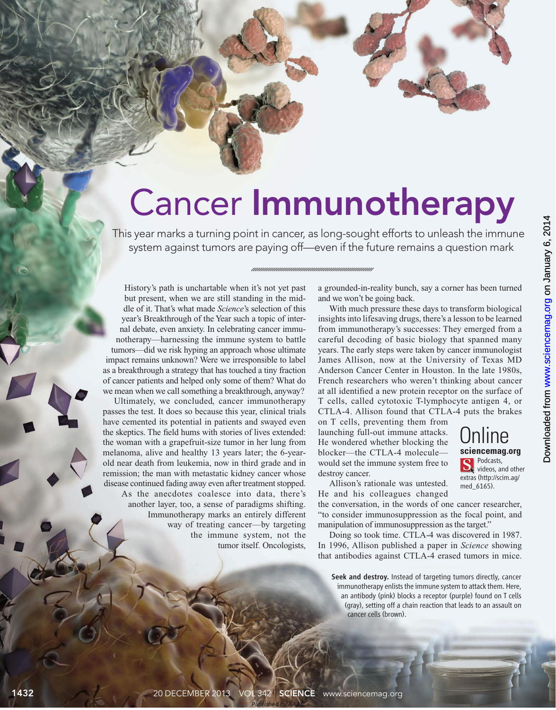## Cancer Immunotherapy

This year marks a turning point in cancer, as long-sought efforts to unleash the immune system against tumors are paying off—even if the future remains a question mark



Ultimately, we concluded, cancer immunotherapy passes the test. It does so because this year, clinical trials have cemented its potential in patients and swayed even the skeptics. The field hums with stories of lives extended: the woman with a grapefruit-size tumor in her lung from melanoma, alive and healthy 13 years later; the 6-yearold near death from leukemia, now in third grade and in remission; the man with metastatic kidney cancer whose disease continued fading away even after treatment stopped. As the anecdotes coalesce into data, there's another layer, too, a sense of paradigms shifting. Immunotherapy marks an entirely different way of treating cancer—by targeting the immune system, not the tumor itself. Oncologists,

a grounded-in-reality bunch, say a corner has been turned and we won't be going back.

With much pressure these days to transform biological insights into lifesaving drugs, there's a lesson to be learned from immunotherapy's successes: They emerged from a careful decoding of basic biology that spanned many years. The early steps were taken by cancer immunologist James Allison, now at the University of Texas MD Anderson Cancer Center in Houston. In the late 1980s, French researchers who weren't thinking about cancer at all identified a new protein receptor on the surface of T cells, called cytotoxic T-lymphocyte antigen 4, or CTLA-4. Allison found that CTLA-4 puts the brakes

on T cells, preventing them from launching full-out immune attacks. He wondered whether blocking the blocker—the CTLA-4 molecule would set the immune system free to destroy cancer.

Unline **sciencemag.org Podcasts**, videos, and other extras (http://scim.ag/ med\_6165).

Allison's rationale was untested. He and his colleagues changed

the conversation, in the words of one cancer researcher, "to consider immunosuppression as the focal point, and manipulation of immunosuppression as the target."

Doing so took time. CTLA-4 was discovered in 1987. In 1996, Allison published a paper in *Science* showing that antibodies against CTLA-4 erased tumors in mice.

Seek and destroy. Instead of targeting tumors directly, cancer immunotherapy enlists the immune system to attack them. Here, an antibody (pink) blocks a receptor (purple) found on T cells (gray), setting off a chain reaction that leads to an assault on cancer cells (brown).

NEWSFOCUS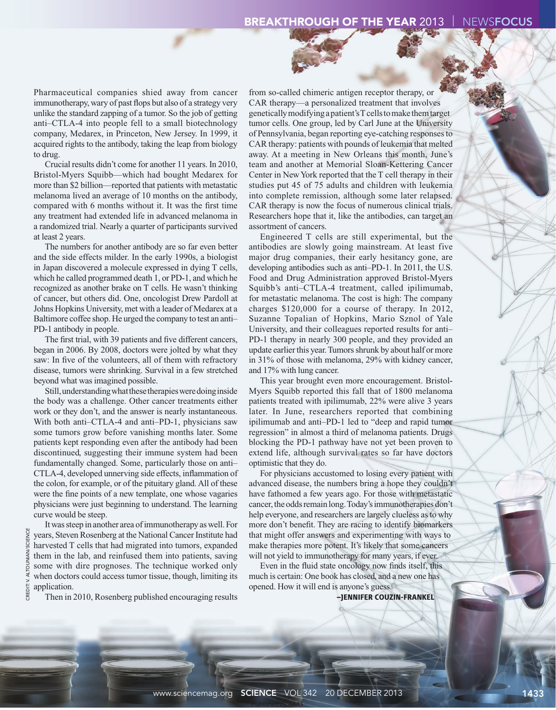Pharmaceutical companies shied away from cancer immunotherapy, wary of past flops but also of a strategy very unlike the standard zapping of a tumor. So the job of getting anti–CTLA-4 into people fell to a small biotechnology company, Medarex, in Princeton, New Jersey. In 1999, it acquired rights to the antibody, taking the leap from biology to drug.

Crucial results didn't come for another 11 years. In 2010, Bristol-Myers Squibb—which had bought Medarex for more than \$2 billion—reported that patients with metastatic melanoma lived an average of 10 months on the antibody, compared with 6 months without it. It was the first time any treatment had extended life in advanced melanoma in a randomized trial. Nearly a quarter of participants survived at least 2 years.

The numbers for another antibody are so far even better and the side effects milder. In the early 1990s, a biologist in Japan discovered a molecule expressed in dying T cells, which he called programmed death 1, or PD-1, and which he recognized as another brake on T cells. He wasn't thinking of cancer, but others did. One, oncologist Drew Pardoll at Johns Hopkins University, met with a leader of Medarex at a Baltimore coffee shop. He urged the company to test an anti– PD-1 antibody in people.

The first trial, with 39 patients and five different cancers, began in 2006. By 2008, doctors were jolted by what they saw: In five of the volunteers, all of them with refractory disease, tumors were shrinking. Survival in a few stretched beyond what was imagined possible.

Still, understanding what these therapies were doing inside the body was a challenge. Other cancer treatments either work or they don't, and the answer is nearly instantaneous. With both anti–CTLA-4 and anti–PD-1, physicians saw some tumors grow before vanishing months later. Some patients kept responding even after the antibody had been discontinued, suggesting their immune system had been fundamentally changed. Some, particularly those on anti– CTLA-4, developed unnerving side effects, inflammation of the colon, for example, or of the pituitary gland. All of these were the fine points of a new template, one whose vagaries physicians were just beginning to understand. The learning curve would be steep.

It was steep in another area of immunotherapy as well. For years, Steven Rosenberg at the National Cancer Institute had harvested T cells that had migrated into tumors, expanded them in the lab, and reinfused them into patients, saving some with dire prognoses. The technique worked only when doctors could access tumor tissue, though, limiting its application.

CREDIT: V. ALTOUNIAN/SCIENCE

CREDIT: V. ALTOUNIAN/SCIENCE

Then in 2010, Rosenberg published encouraging results

from so-called chimeric antigen receptor therapy, or CAR therapy—a personalized treatment that involves genetically modifying a patient's T cells to make them target tumor cells. One group, led by Carl June at the University of Pennsylvania, began reporting eye-catching responses to CAR therapy: patients with pounds of leukemia that melted away. At a meeting in New Orleans this month, June's team and another at Memorial Sloan-Kettering Cancer Center in New York reported that the T cell therapy in their studies put 45 of 75 adults and children with leukemia into complete remission, although some later relapsed. CAR therapy is now the focus of numerous clinical trials. Researchers hope that it, like the antibodies, can target an assortment of cancers.

Engineered T cells are still experimental, but the antibodies are slowly going mainstream. At least five major drug companies, their early hesitancy gone, are developing antibodies such as anti–PD-1. In 2011, the U.S. Food and Drug Administration approved Bristol-Myers Squibb's anti–CTLA-4 treatment, called ipilimumab, for metastatic melanoma. The cost is high: The company charges \$120,000 for a course of therapy. In 2012, Suzanne Topalian of Hopkins, Mario Sznol of Yale University, and their colleagues reported results for anti– PD-1 therapy in nearly 300 people, and they provided an update earlier this year. Tumors shrunk by about half or more in 31% of those with melanoma, 29% with kidney cancer, and 17% with lung cancer.

This year brought even more encouragement. Bristol-Myers Squibb reported this fall that of 1800 melanoma patients treated with ipilimumab, 22% were alive 3 years later. In June, researchers reported that combining ipilimumab and anti–PD-1 led to "deep and rapid tumor regression" in almost a third of melanoma patients. Drugs blocking the PD-1 pathway have not yet been proven to extend life, although survival rates so far have doctors optimistic that they do.

For physicians accustomed to losing every patient with advanced disease, the numbers bring a hope they couldn't have fathomed a few years ago. For those with metastatic cancer, the odds remain long. Today's immunotherapies don't help everyone, and researchers are largely clueless as to why more don't benefit. They are racing to identify biomarkers that might offer answers and experimenting with ways to make therapies more potent. It's likely that some cancers will not yield to immunotherapy for many years, if ever.

Even in the fluid state oncology now finds itself, this much is certain: One book has closed, and a new one has opened. How it will end is anyone's guess.

**–JENNIFER COUZIN-FRANKEL**